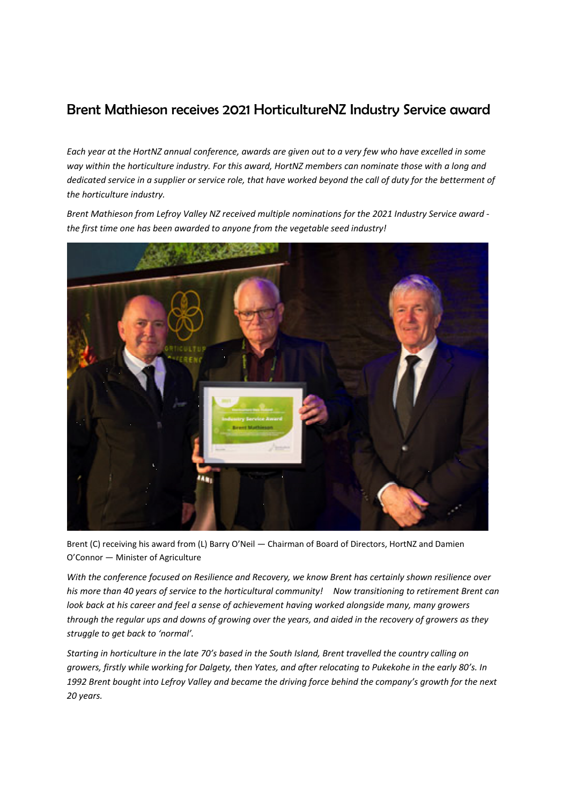## Brent Mathieson receives 2021 HorticultureNZ Industry Service award

Each year at the HortNZ annual conference, awards are given out to a very few who have excelled in some *way within the horticulture industry. For this award, HortNZ members can nominate those with a long and* dedicated service in a supplier or service role, that have worked beyond the call of duty for the betterment of *the horticulture industry.* 

*Brent Mathieson from Lefroy Valley NZ received multiple nominations for the 2021 Industry Service award ‐ the first time one has been awarded to anyone from the vegetable seed industry!*



Brent (C) receiving his award from (L) Barry O'Neil — Chairman of Board of Directors, HortNZ and Damien O'Connor — Minister of Agriculture

*With the conference focused on Resilience and Recovery, we know Brent has certainly shown resilience over* his more than 40 years of service to the horticultural community! Now transitioning to retirement Brent can *look back at his career and feel a sense of achievement having worked alongside many, many growers* through the regular ups and downs of growing over the years, and aided in the recovery of growers as they *struggle to get back to 'normal'.*

Starting in horticulture in the late 70's based in the South Island, Brent travelled the country calling on growers, firstly while working for Dalgety, then Yates, and after relocating to Pukekohe in the early 80's. In 1992 Brent bought into Lefroy Valley and became the driving force behind the company's growth for the next *20 years.*